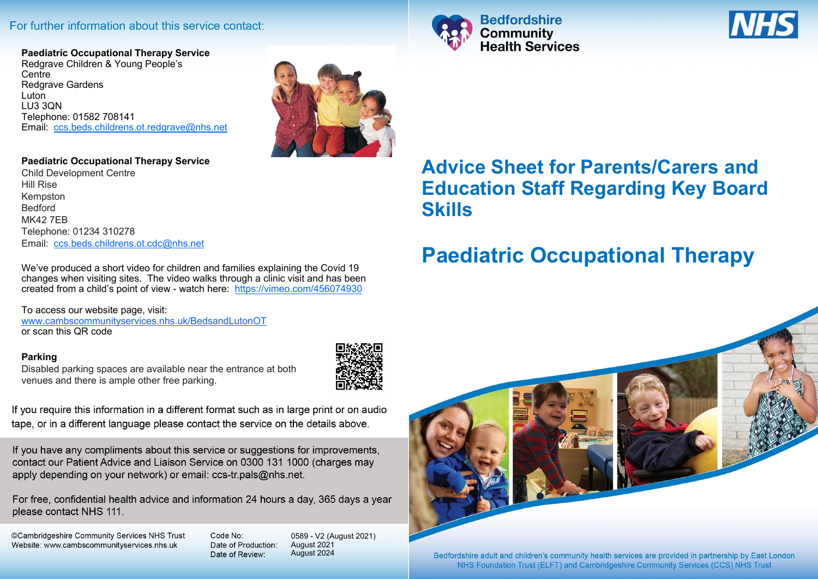### For further information about this service contact:

**Paediatric Occupational Therapy Service** Redgrave Children & Young People's **Centre** Redgrave Gardens Luton LU3 3QN Telephone: 01582 708141 Email: [ccs.beds.childrens.ot.redgrave@nhs.net](mailto:ccs.beds.childrens.ot.redgrave@nhs.net)



#### **Paediatric Occupational Therapy Service**

Child Development Centre Hill Rise Kempston Bedford MK42 7EB Telephone: 01234 310278 Email: [ccs.beds.childrens.ot.cdc@nhs.net](mailto:ccs.beds.childrens.ot.cdc@nhs.net)

We've produced a short video for children and families explaining the Covid 19 changes when visiting sites. The video walks through a clinic visit and has been created from a child's point of view - watch here: <https://vimeo.com/456074930>

To access our website page, visit: [www.cambscommunityservices.nhs.uk/BedsandLutonOT](http://www.cambscommunityservices.nhs.uk/BedsandLutonOT) or scan this QR code

#### **Parking**

Disabled parking spaces are available near the entrance at both venues and there is ample other free parking.



If you require this information in a different format such as in large print or on audio tape, or in a different language please contact the service on the details above.

If you have any compliments about this service or suggestions for improvements, contact our Patient Advice and Liaison Service on 0300 131 1000 (charges may apply depending on your network) or email: ccs-tr.pals@nhs.net.

For free, confidential health advice and information 24 hours a day, 365 days a year please contact NHS 111.

©Cambridgeshire Community Services NHS Trust Website: www.cambscommunityservices.nhs.uk

Code No: Date of Production: Date of Review:

0589 - V2 (August 2021) August 2021 August 2024





## **Advice Sheet for Parents/Carers and Education Staff Regarding Key Board Skills**

# **Paediatric Occupational Therapy**



NHS Foundation Trust (ELFT) and Cambridgeshire Community Services (CCS) NHS Trust